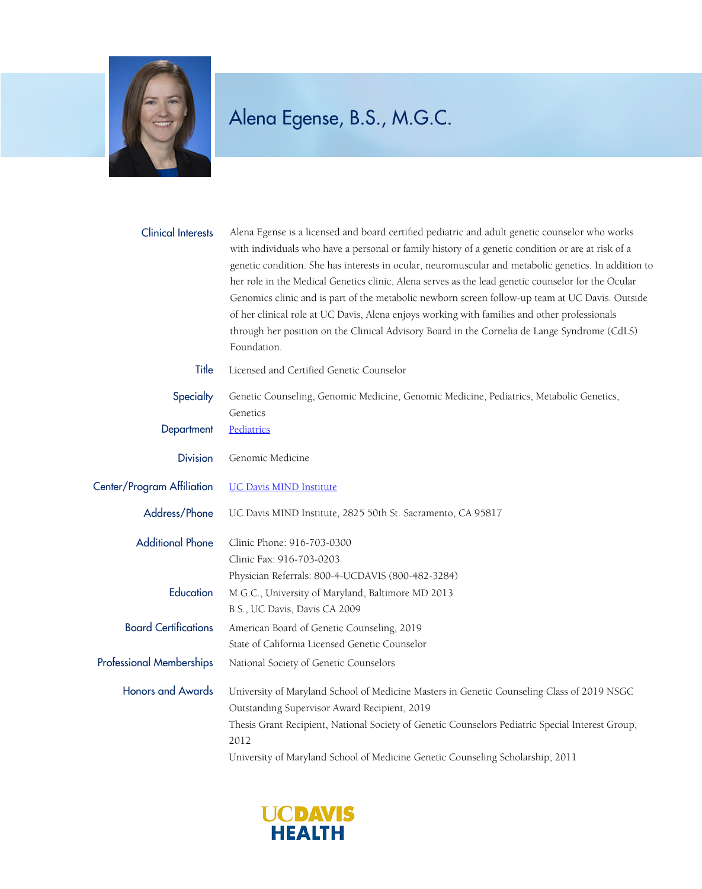

## Alena Egense, B.S., M.G.C.

| <b>Clinical Interests</b>       | Alena Egense is a licensed and board certified pediatric and adult genetic counselor who works<br>with individuals who have a personal or family history of a genetic condition or are at risk of a<br>genetic condition. She has interests in ocular, neuromuscular and metabolic genetics. In addition to<br>her role in the Medical Genetics clinic, Alena serves as the lead genetic counselor for the Ocular<br>Genomics clinic and is part of the metabolic newborn screen follow-up team at UC Davis. Outside |
|---------------------------------|----------------------------------------------------------------------------------------------------------------------------------------------------------------------------------------------------------------------------------------------------------------------------------------------------------------------------------------------------------------------------------------------------------------------------------------------------------------------------------------------------------------------|
|                                 | of her clinical role at UC Davis, Alena enjoys working with families and other professionals<br>through her position on the Clinical Advisory Board in the Cornelia de Lange Syndrome (CdLS)<br>Foundation.                                                                                                                                                                                                                                                                                                          |
| Title                           | Licensed and Certified Genetic Counselor                                                                                                                                                                                                                                                                                                                                                                                                                                                                             |
| Specialty                       | Genetic Counseling, Genomic Medicine, Genomic Medicine, Pediatrics, Metabolic Genetics,<br>Genetics                                                                                                                                                                                                                                                                                                                                                                                                                  |
| Department                      | Pediatrics                                                                                                                                                                                                                                                                                                                                                                                                                                                                                                           |
| <b>Division</b>                 | Genomic Medicine                                                                                                                                                                                                                                                                                                                                                                                                                                                                                                     |
| Center/Program Affiliation      | <b>UC Davis MIND Institute</b>                                                                                                                                                                                                                                                                                                                                                                                                                                                                                       |
| Address/Phone                   | UC Davis MIND Institute, 2825 50th St. Sacramento, CA 95817                                                                                                                                                                                                                                                                                                                                                                                                                                                          |
| <b>Additional Phone</b>         | Clinic Phone: 916-703-0300                                                                                                                                                                                                                                                                                                                                                                                                                                                                                           |
|                                 | Clinic Fax: 916-703-0203                                                                                                                                                                                                                                                                                                                                                                                                                                                                                             |
| Education                       | Physician Referrals: 800-4-UCDAVIS (800-482-3284)<br>M.G.C., University of Maryland, Baltimore MD 2013                                                                                                                                                                                                                                                                                                                                                                                                               |
|                                 | B.S., UC Davis, Davis CA 2009                                                                                                                                                                                                                                                                                                                                                                                                                                                                                        |
| <b>Board Certifications</b>     | American Board of Genetic Counseling, 2019                                                                                                                                                                                                                                                                                                                                                                                                                                                                           |
|                                 | State of California Licensed Genetic Counselor                                                                                                                                                                                                                                                                                                                                                                                                                                                                       |
| <b>Professional Memberships</b> | National Society of Genetic Counselors                                                                                                                                                                                                                                                                                                                                                                                                                                                                               |
| <b>Honors and Awards</b>        | University of Maryland School of Medicine Masters in Genetic Counseling Class of 2019 NSGC                                                                                                                                                                                                                                                                                                                                                                                                                           |
|                                 | Outstanding Supervisor Award Recipient, 2019                                                                                                                                                                                                                                                                                                                                                                                                                                                                         |
|                                 | Thesis Grant Recipient, National Society of Genetic Counselors Pediatric Special Interest Group,<br>2012                                                                                                                                                                                                                                                                                                                                                                                                             |
|                                 | University of Maryland School of Medicine Genetic Counseling Scholarship, 2011                                                                                                                                                                                                                                                                                                                                                                                                                                       |

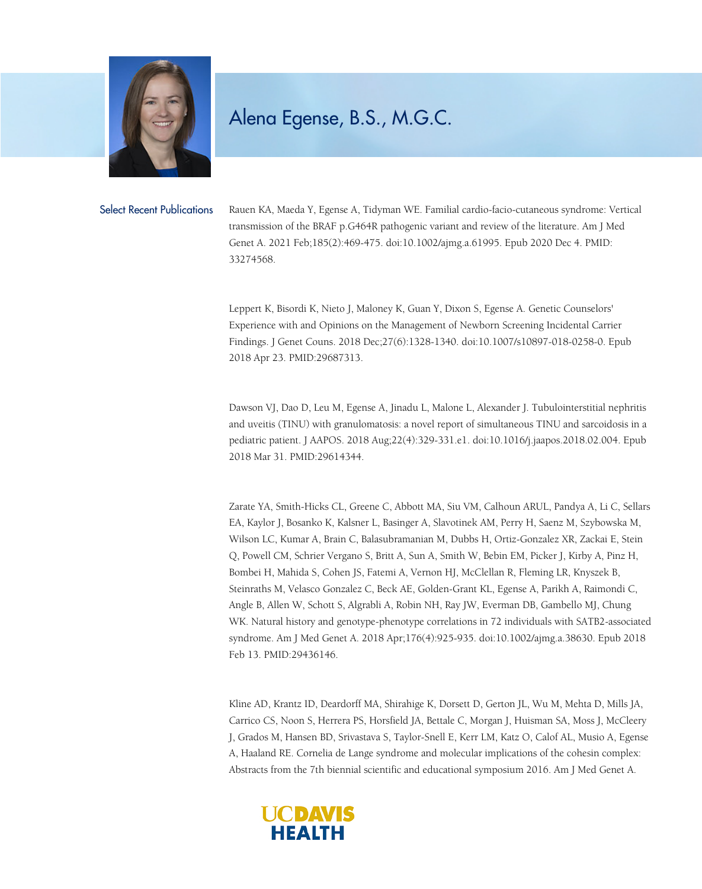

## Alena Egense, B.S., M.G.C.

Select Recent Publications Rauen KA, Maeda Y, Egense A, Tidyman WE. Familial cardio-facio-cutaneous syndrome: Vertical transmission of the BRAF p.G464R pathogenic variant and review of the literature. Am J Med Genet A. 2021 Feb;185(2):469-475. doi:10.1002/ajmg.a.61995. Epub 2020 Dec 4. PMID: 33274568.

> Leppert K, Bisordi K, Nieto J, Maloney K, Guan Y, Dixon S, Egense A. Genetic Counselors' Experience with and Opinions on the Management of Newborn Screening Incidental Carrier Findings. J Genet Couns. 2018 Dec;27(6):1328-1340. doi:10.1007/s10897-018-0258-0. Epub 2018 Apr 23. PMID:29687313.

Dawson VJ, Dao D, Leu M, Egense A, Jinadu L, Malone L, Alexander J. Tubulointerstitial nephritis and uveitis (TINU) with granulomatosis: a novel report of simultaneous TINU and sarcoidosis in a pediatric patient. J AAPOS. 2018 Aug;22(4):329-331.e1. doi:10.1016/j.jaapos.2018.02.004. Epub 2018 Mar 31. PMID:29614344.

Zarate YA, Smith-Hicks CL, Greene C, Abbott MA, Siu VM, Calhoun ARUL, Pandya A, Li C, Sellars EA, Kaylor J, Bosanko K, Kalsner L, Basinger A, Slavotinek AM, Perry H, Saenz M, Szybowska M, Wilson LC, Kumar A, Brain C, Balasubramanian M, Dubbs H, Ortiz-Gonzalez XR, Zackai E, Stein Q, Powell CM, Schrier Vergano S, Britt A, Sun A, Smith W, Bebin EM, Picker J, Kirby A, Pinz H, Bombei H, Mahida S, Cohen JS, Fatemi A, Vernon HJ, McClellan R, Fleming LR, Knyszek B, Steinraths M, Velasco Gonzalez C, Beck AE, Golden-Grant KL, Egense A, Parikh A, Raimondi C, Angle B, Allen W, Schott S, Algrabli A, Robin NH, Ray JW, Everman DB, Gambello MJ, Chung WK. Natural history and genotype-phenotype correlations in 72 individuals with SATB2-associated syndrome. Am J Med Genet A. 2018 Apr;176(4):925-935. doi:10.1002/ajmg.a.38630. Epub 2018 Feb 13. PMID:29436146.

Kline AD, Krantz ID, Deardorff MA, Shirahige K, Dorsett D, Gerton JL, Wu M, Mehta D, Mills JA, Carrico CS, Noon S, Herrera PS, Horsfield JA, Bettale C, Morgan J, Huisman SA, Moss J, McCleery J, Grados M, Hansen BD, Srivastava S, Taylor-Snell E, Kerr LM, Katz O, Calof AL, Musio A, Egense A, Haaland RE. Cornelia de Lange syndrome and molecular implications of the cohesin complex: Abstracts from the 7th biennial scientific and educational symposium 2016. Am J Med Genet A.